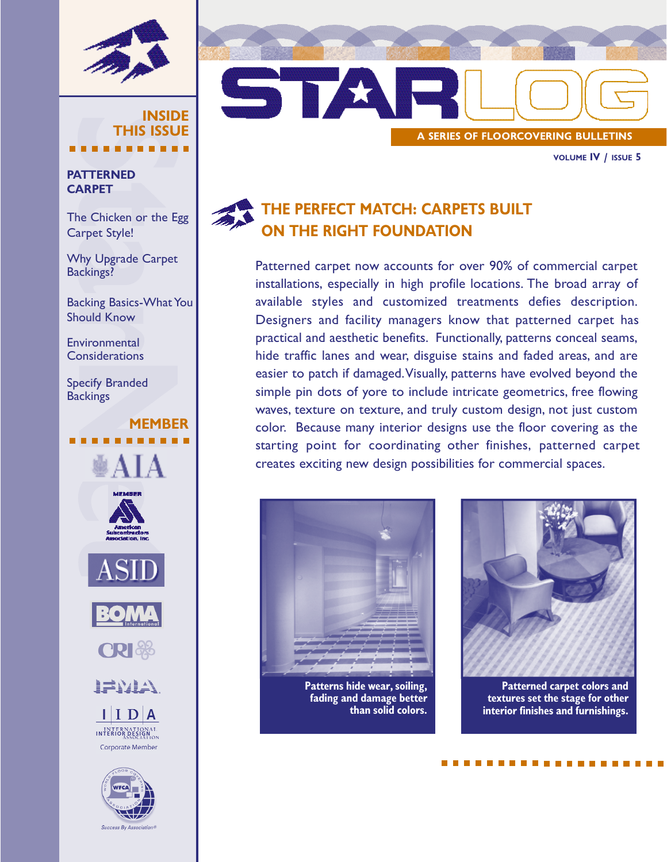

### INSIDE THIS ISSUE

### **PATTERNED** CARPET

The Chicken or the Egg Carpet Style!

Why Upgrade Carpet Backings?

Backing Basics-What You Should Know

MEMBER

**Environmental Considerations** 

Specify Branded **Backings** 

# ₩AIA **CRI 3% ALLATION**  $\mathbf{I}|\mathbf{I}|\mathbf{D}|\mathbf{A}$ INTERNATIONAL Corporate Member



STAR A SERIES OF FLOORCOVERING BULLETINS

VOLUME IV / ISSUE 5

### THE PERFECT MATCH: CARPETS BUILT ON THE RIGHT FOUNDATION

Patterned carpet now accounts for over 90% of commercial carpet installations, especially in high profile locations. The broad array of available styles and customized treatments defies description. Designers and facility managers know that patterned carpet has practical and aesthetic benefits. Functionally, patterns conceal seams, hide traffic lanes and wear, disguise stains and faded areas, and are easier to patch if damaged.Visually, patterns have evolved beyond the simple pin dots of yore to include intricate geometrics, free flowing waves, texture on texture, and truly custom design, not just custom color. Because many interior designs use the floor covering as the starting point for coordinating other finishes, patterned carpet creates exciting new design possibilities for commercial spaces.



Patterns hide wear, soiling, fading and damage better than solid colors.



Patterned carpet colors and textures set the stage for other interior finishes and furnishings.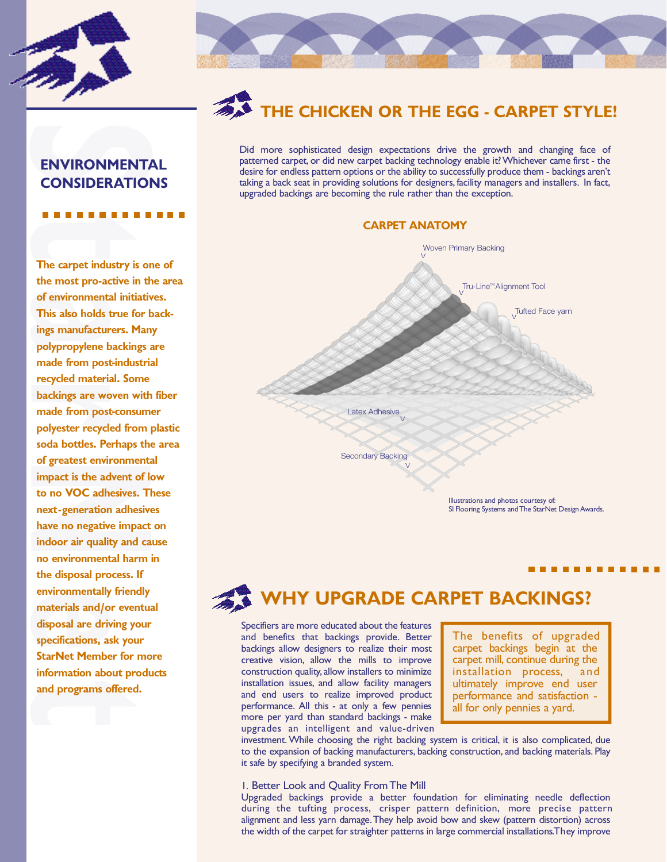



# HE CHICKEN OR THE EGG - CARPET STYLE!

Did more sophisticated design expectations drive the growth and changing face of patterned carpet, or did new carpet backing technology enable it? Whichever came first - the desire for endless pattern options or the ability to successfully produce them - backings aren't taking a back seat in providing solutions for designers, facility managers and installers. In fact, upgraded backings are becoming the rule rather than the exception.

### **CARPET ANATOMY**



# WHY UPGRADE CARPET BACKINGS?

Specifiers are more educated about the features and benefits that backings provide. Better backings allow designers to realize their most creative vision, allow the mills to improve construction quality, allow installers to minimize installation issues, and allow facility managers and end users to realize improved product performance. All this - at only a few pennies more per yard than standard backings - make upgrades an intelligent and value-driven

The benefits of upgraded carpet backings begin at the carpet mill, continue during the installation process, and ultimately improve end user performance and satisfaction all for only pennies a yard.

investment. While choosing the right backing system is critical, it is also complicated, due to the expansion of backing manufacturers, backing construction, and backing materials. Play it safe by specifying a branded system.

### 1. Better Look and Quality From The Mill

Upgraded backings provide a better foundation for eliminating needle deflection during the tufting process, crisper pattern definition, more precise pattern alignment and less yarn damage. They help avoid bow and skew (pattern distortion) across the width of the carpet for straighter patterns in large commercial installations. They improve

ENVIRONMENTAL CONSIDERATIONS

The carpet industry is one of the most pro-active in the area of environmental initiatives. This also holds true for backings manufacturers. Many polypropylene backings are made from post-industrial recycled material. Some backings are woven with fiber made from post-consumer polyester recycled from plastic soda bottles. Perhaps the area of greatest environmental impact is the advent of low to no VOC adhesives. These next-generation adhesives have no negative impact on indoor air quality and cause no environmental harm in the disposal process. If environmentally friendly materials and/or eventual disposal are driving your specifications, ask your StarNet Member for more information about products and programs offered.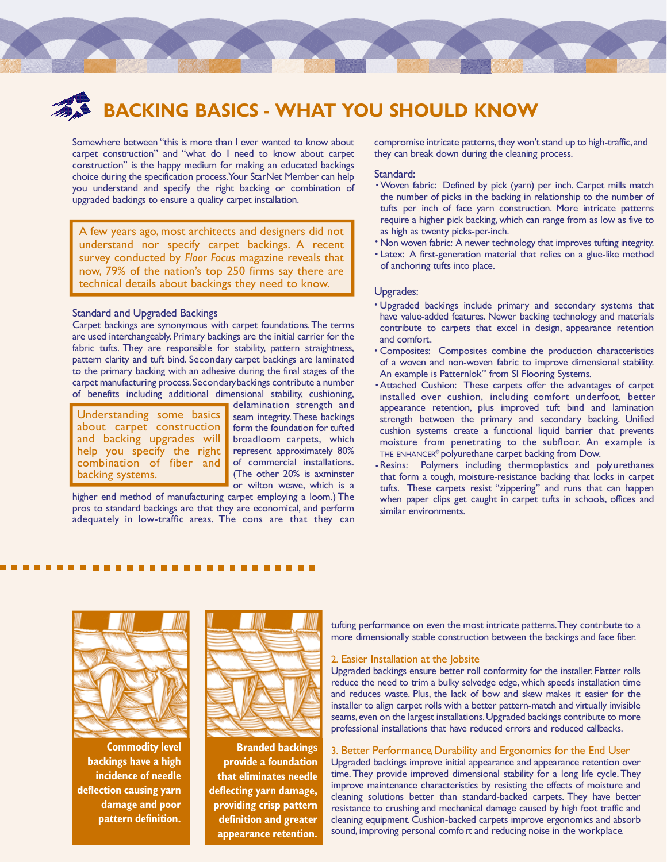## BACKING BASICS - WHAT YOU SHOULD KNOW

Somewhere between "this is more than I ever wanted to know about carpet construction" and "what do I need to know about carpet construction" is the happy medium for making an educated backings choice during the specification process. Your StarNet Member can help you understand and specify the right backing or combination of upgraded backings to ensure a quality carpet installation.

A few years ago, most architects and designers did not understand nor specify carpet backings. A recent survey conducted by *Floor Focus* magazine reveals that now, 79% of the nation's top 250 firms say there are technical details about backings they need to know.

### Standard and Upgraded Backings

Carpet backings are synonymous with carpet foundations. The terms are used interchangeably. Primary backings are the initial carrier for the fabric tufts. They are responsible for stability, pattern straightness, pattern clarity and tuft bind. Secondary carpet backings are laminated to the primary backing with an adhesive during the final stages of the carpet manufacturing process. Secondary backings contribute a number of benefits including additional dimensional stability, cushioning,

Understanding some basics about carpet construction and backing upgrades will help you specify the right combination of fiber and backing systems.

delamination strength and seam integrity.These backings form the foundation for tufted broadloom carpets, which represent approximately 80% of commercial installations. (The other 20% is axminster or wilton weave, which is a

higher end method of manufacturing carpet employing a loom.) The pros to standard backings are that they are economical, and perform adequately in low-traffic areas. The cons are that they can compromise intricate patterns, they won't stand up to high-traffic, and they can break down during the cleaning process.

#### Standard:

- Woven fabric: Defined by pick (yarn) per inch. Carpet mills match the number of picks in the backing in relationship to the number of tufts per inch of face yarn construction. More intricate patterns require a higher pick backing, which can range from as low as five to as high as twenty picks-per-inch.
- Non woven fabric: A newer technology that improves tufting integrity.
- · Latex: A first-generation material that relies on a glue-like method of anchoring tufts into place.

### Upgrades:

- Upgraded backings include primary and secondary systems that have value-added features. Newer backing technology and materials contribute to carpets that excel in design, appearance retention and comfort.
- Composites: Composites combine the production characteristics of a woven and non-woven fabric to improve dimensional stability. An example is Patternlok™ from SI Flooring Systems.
- Attached Cushion: These carpets offer the advantages of carpet installed over cushion, including comfort underfoot, better appearance retention, plus improved tuft bind and lamination strength between the primary and secondary backing. Unified cushion systems create a functional liquid barrier that prevents moisture from penetrating to the subfloor. An example is THE ENHANCER<sup>®</sup> polyurethane carpet backing from Dow.
- . Resins: Polymers including thermoplastics and polyurethanes that form a tough, moisture-resistance backing that locks in carpet tufts. These carpets resist "zippering" and runs that can happen when paper clips get caught in carpet tufts in schools, offices and similar environments.



Commodity level backings have a high incidence of needle deflection causing yarn damage and poor pattern definition.



Branded backings provide a foundation that eliminates needle deflecting yarn damage, providing crisp pattern definition and greater appearance retention.

tufting performance on even the most intricate patterns. They contribute to a more dimensionally stable construction between the backings and face fiber.

2. Easier Installation at the Jobsite<br>Upgraded backings ensure better roll conformity for the installer. Flatter rolls reduce the need to trim a bulky selvedge edge, which speeds installation time and reduces waste. Plus, the lack of bow and skew makes it easier for the installer to align carpet rolls with a better pattern-match and virtually invisible seams, even on the largest installations. Upgraded backings contribute to more professional installations that have reduced errors and reduced callbacks.

#### 3. Better Performance, Durability and Ergonomics for the End User

Upgraded backings improve initial appearance and appearance retention over time. They provide improved dimensional stability for a long life cycle. They improve maintenance characteristics by resisting the effects of moisture and cleaning solutions better than standard-backed carpets. They have better resistance to crushing and mechanical damage caused by high foot traffic and cleaning equipment. Cushion-backed carpets improve ergonomics and absorb sound, improving personal comfort and reducing noise in the workplace.